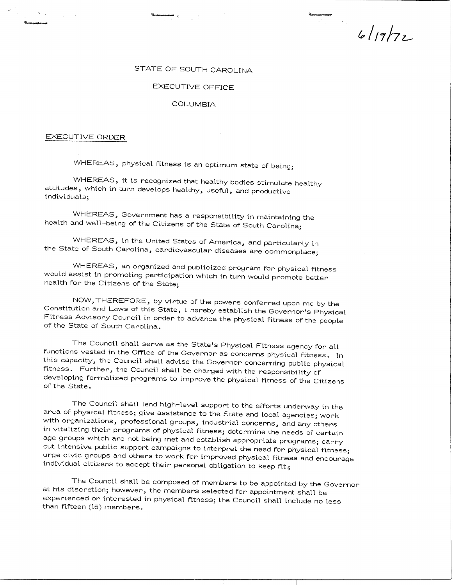$6/19/72$ 

## STATE OF SOUTH CAROLINA

## EXECUTIVE OFFICE

## COLUMBIA

## EXECUTIVE ORDER

WHEREAS, physical fitness is an optimum state of being;

WHEREAS, it is recognized that healthy bodies stimulate healthy attitudes, which in turn develops healthy, useful, and productive individuals;

WHEREAS, Government has a responsibility in maintaining the health and well-being of the Citizens of the State of South Carolina;

WHEREAS, in the United States of America, and particularly in the State of South Carolina, cardiovascular diseases are commonplace;

WHEREAS, an organized and publicized program for physical fitness would assist in promoting participation which in turn would promote better health for the Citizens of the State;

NOW, THEREFORE, by virtue of the powers conferred upon me by the Constitution and Laws of this State, I hereby establish the Governor's Physical Fitness Advisory Council in order to advance the physical fitness of the people of the State of South Carolina.

The Council shall serve as the State's Physical Fitness agency for all functions vested in the Office of the Governor as concerns physical fitness. In this capacity, the Council shall advise the Governor concerning public physical fitness. Further, the Council shall be charged with the responsibility of developing formalized programs to improve the physical fitness of the Citizens of the State.

The Council shall lend high-level support to the efforts underway in the area of physical fitness; give assistance to the State and local agencies; work with organizations, professional groups, industrial concerns, and any others in vitalizing their programs of physical fitness; determine the needs of certain age groups which are not being met and establish appropriate programs; carry out intensive public support campaigns to interpret the need for physical fitness; urge civic groups and others to work for improved physical fitness and encourage individual citizens to accept their personal obligation to keep fit;

The Council shall be composed of members to be appointed by the Governor at his discretion; however, the members selected for appointment shall be experienced or interested in physical fitness; the Council shall include no less than fifteen (15) members.